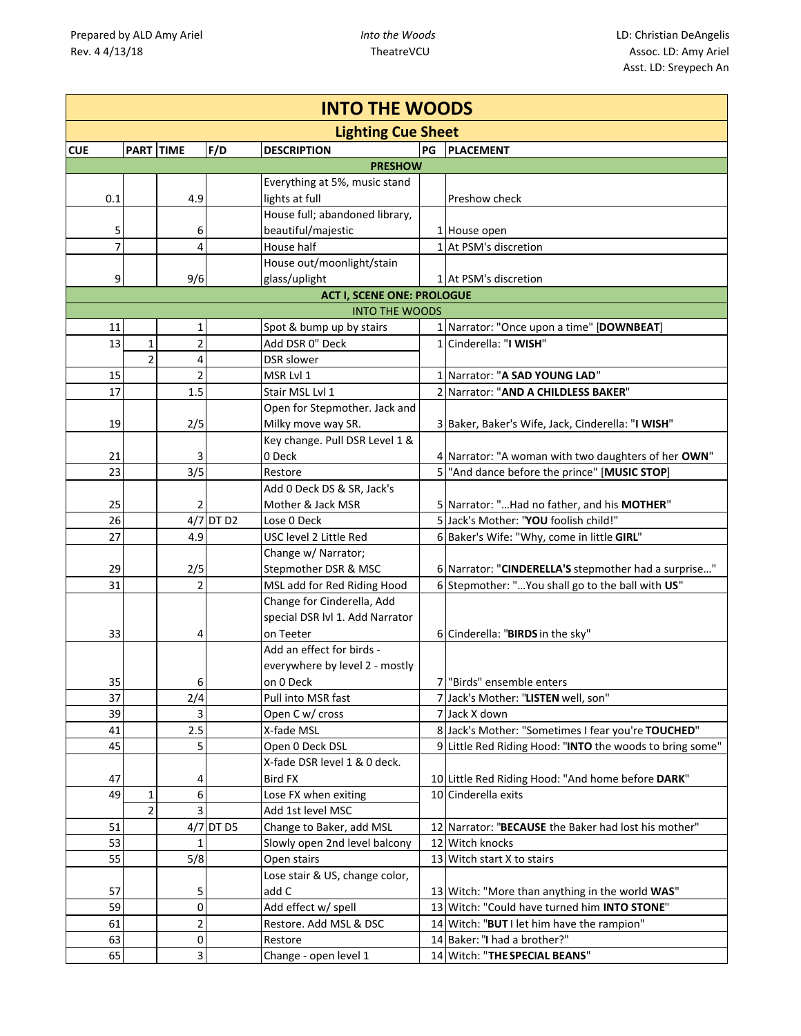|            | <b>INTO THE WOODS</b> |                  |                |           |                                   |    |                                                                                      |  |  |
|------------|-----------------------|------------------|----------------|-----------|-----------------------------------|----|--------------------------------------------------------------------------------------|--|--|
|            |                       |                  |                |           | <b>Lighting Cue Sheet</b>         |    |                                                                                      |  |  |
| <b>CUE</b> |                       | <b>PART TIME</b> |                | F/D       | <b>DESCRIPTION</b>                | PG | <b>PLACEMENT</b>                                                                     |  |  |
|            |                       |                  |                |           | <b>PRESHOW</b>                    |    |                                                                                      |  |  |
|            |                       |                  |                |           | Everything at 5%, music stand     |    |                                                                                      |  |  |
|            | 0.1                   |                  | 4.9            |           | lights at full                    |    | Preshow check                                                                        |  |  |
|            |                       |                  |                |           | House full; abandoned library,    |    |                                                                                      |  |  |
|            | 5                     |                  | 6              |           | beautiful/majestic                |    | 1 House open                                                                         |  |  |
|            | $\overline{7}$        |                  | 4              |           | House half                        |    | 1 At PSM's discretion                                                                |  |  |
|            |                       |                  |                |           | House out/moonlight/stain         |    |                                                                                      |  |  |
|            | 9                     |                  | 9/6            |           | glass/uplight                     |    | 1 At PSM's discretion                                                                |  |  |
|            |                       |                  |                |           | <b>ACT I, SCENE ONE: PROLOGUE</b> |    |                                                                                      |  |  |
|            |                       |                  |                |           | <b>INTO THE WOODS</b>             |    |                                                                                      |  |  |
|            | 11                    |                  | 1              |           | Spot & bump up by stairs          |    | 1 Narrator: "Once upon a time" [DOWNBEAT]                                            |  |  |
|            | 13                    | $\mathbf 1$      | $\overline{2}$ |           | Add DSR 0" Deck                   |    | 1 Cinderella: "I WISH"                                                               |  |  |
|            |                       | $\overline{2}$   | 4              |           | <b>DSR</b> slower                 |    |                                                                                      |  |  |
|            | 15                    |                  | $\overline{2}$ |           | MSR Lvl 1                         |    | 1 Narrator: "A SAD YOUNG LAD"                                                        |  |  |
|            | 17                    |                  | 1.5            |           | Stair MSL Lvl 1                   |    | 2 Narrator: "AND A CHILDLESS BAKER"                                                  |  |  |
|            |                       |                  |                |           | Open for Stepmother. Jack and     |    |                                                                                      |  |  |
|            | 19                    |                  | 2/5            |           | Milky move way SR.                |    | 3 Baker, Baker's Wife, Jack, Cinderella: "I WISH"                                    |  |  |
|            |                       |                  |                |           | Key change. Pull DSR Level 1 &    |    |                                                                                      |  |  |
|            | 21                    |                  | 3<br>3/5       |           | 0 Deck                            |    | 4 Narrator: "A woman with two daughters of her OWN"                                  |  |  |
|            | 23                    |                  |                |           | Restore                           |    | 5 "And dance before the prince" [MUSIC STOP]                                         |  |  |
|            |                       |                  |                |           | Add 0 Deck DS & SR, Jack's        |    |                                                                                      |  |  |
|            | 25<br>26              |                  | 2              | 4/7 DT D2 | Mother & Jack MSR<br>Lose 0 Deck  |    | 5 Narrator: "Had no father, and his MOTHER"<br>5 Jack's Mother: "YOU foolish child!" |  |  |
|            | 27                    |                  | 4.9            |           | USC level 2 Little Red            |    | 6 Baker's Wife: "Why, come in little GIRL"                                           |  |  |
|            |                       |                  |                |           | Change w/ Narrator;               |    |                                                                                      |  |  |
|            | 29                    |                  | 2/5            |           | Stepmother DSR & MSC              |    | 6 Narrator: "CINDERELLA'S stepmother had a surprise"                                 |  |  |
|            | 31                    |                  | $\overline{2}$ |           | MSL add for Red Riding Hood       |    | 6 Stepmother: " You shall go to the ball with US"                                    |  |  |
|            |                       |                  |                |           | Change for Cinderella, Add        |    |                                                                                      |  |  |
|            |                       |                  |                |           | special DSR Ivl 1. Add Narrator   |    |                                                                                      |  |  |
|            | 33                    |                  | 4              |           | on Teeter                         |    | 6 Cinderella: "BIRDS in the sky"                                                     |  |  |
|            |                       |                  |                |           | Add an effect for birds -         |    |                                                                                      |  |  |
|            |                       |                  |                |           | everywhere by level 2 - mostly    |    |                                                                                      |  |  |
|            | 35                    |                  | 6              |           | on 0 Deck                         |    | 7 "Birds" ensemble enters                                                            |  |  |
|            | 37                    |                  | 2/4            |           | Pull into MSR fast                |    | 7 Jack's Mother: "LISTEN well, son"                                                  |  |  |
|            | 39                    |                  | 3              |           | Open C w/ cross                   |    | 7 Jack X down                                                                        |  |  |
|            | 41                    |                  | 2.5            |           | X-fade MSL                        |    | 8 Jack's Mother: "Sometimes I fear you're TOUCHED"                                   |  |  |
|            | 45                    |                  | 5              |           | Open 0 Deck DSL                   |    | 9 Little Red Riding Hood: "INTO the woods to bring some"                             |  |  |
|            |                       |                  |                |           | X-fade DSR level 1 & 0 deck.      |    |                                                                                      |  |  |
|            | 47                    |                  | 4              |           | <b>Bird FX</b>                    |    | 10 Little Red Riding Hood: "And home before DARK"                                    |  |  |
|            | 49                    | $\mathbf{1}$     | 6              |           | Lose FX when exiting              |    | 10 Cinderella exits                                                                  |  |  |
|            |                       | $\overline{2}$   | 3              |           | Add 1st level MSC                 |    |                                                                                      |  |  |
|            | 51                    |                  |                | 4/7 DT D5 | Change to Baker, add MSL          |    | 12 Narrator: "BECAUSE the Baker had lost his mother"                                 |  |  |
|            | 53                    |                  | 1              |           | Slowly open 2nd level balcony     |    | 12 Witch knocks                                                                      |  |  |
|            | 55                    |                  | 5/8            |           | Open stairs                       |    | 13 Witch start X to stairs                                                           |  |  |
|            |                       |                  |                |           | Lose stair & US, change color,    |    |                                                                                      |  |  |
|            | 57                    |                  | 5              |           | add C                             |    | 13 Witch: "More than anything in the world WAS"                                      |  |  |
|            | 59                    |                  | 0              |           | Add effect w/ spell               |    | 13 Witch: "Could have turned him INTO STONE"                                         |  |  |
|            | 61                    |                  | 2              |           | Restore. Add MSL & DSC            |    | 14 Witch: "BUT I let him have the rampion"                                           |  |  |
|            | 63                    |                  | 0              |           | Restore                           |    | 14 Baker: "I had a brother?"                                                         |  |  |
|            | 65                    |                  | 3              |           | Change - open level 1             |    | 14 Witch: "THE SPECIAL BEANS"                                                        |  |  |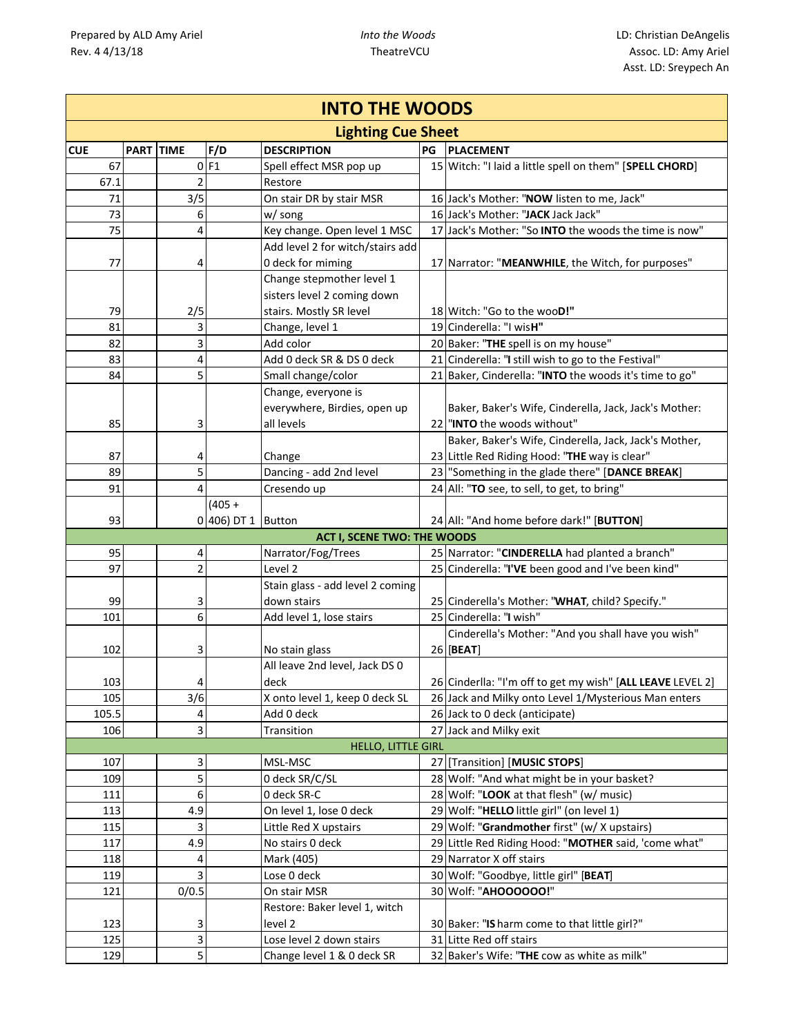| <b>INTO THE WOODS</b> |                           |                        |                    |                                              |    |                                                            |  |  |  |  |  |
|-----------------------|---------------------------|------------------------|--------------------|----------------------------------------------|----|------------------------------------------------------------|--|--|--|--|--|
|                       | <b>Lighting Cue Sheet</b> |                        |                    |                                              |    |                                                            |  |  |  |  |  |
| <b>CUE</b>            | <b>PART TIME</b>          |                        | F/D                | <b>DESCRIPTION</b>                           | PG | <b>PLACEMENT</b>                                           |  |  |  |  |  |
| 67                    |                           |                        | $0$ F1             | Spell effect MSR pop up                      |    | 15 Witch: "I laid a little spell on them" [SPELL CHORD]    |  |  |  |  |  |
| 67.1                  |                           | $\overline{2}$         |                    | Restore                                      |    |                                                            |  |  |  |  |  |
| 71                    |                           | 3/5                    |                    | On stair DR by stair MSR                     |    | 16 Jack's Mother: "NOW listen to me, Jack"                 |  |  |  |  |  |
| 73                    |                           | 6                      |                    | w/ song                                      |    | 16 Jack's Mother: "JACK Jack Jack"                         |  |  |  |  |  |
| 75                    |                           | 4                      |                    | Key change. Open level 1 MSC                 |    | 17 Jack's Mother: "So INTO the woods the time is now"      |  |  |  |  |  |
|                       |                           |                        |                    | Add level 2 for witch/stairs add             |    |                                                            |  |  |  |  |  |
| 77                    |                           | 4                      |                    | 0 deck for miming                            |    | 17 Narrator: "MEANWHILE, the Witch, for purposes"          |  |  |  |  |  |
|                       |                           |                        |                    | Change stepmother level 1                    |    |                                                            |  |  |  |  |  |
|                       |                           |                        |                    | sisters level 2 coming down                  |    |                                                            |  |  |  |  |  |
| 79                    |                           | 2/5                    |                    | stairs. Mostly SR level                      |    | 18 Witch: "Go to the wooD!"                                |  |  |  |  |  |
| 81                    |                           | 3                      |                    | Change, level 1                              |    | 19 Cinderella: "I wisH"                                    |  |  |  |  |  |
| 82                    |                           | 3                      |                    | Add color                                    |    | 20 Baker: "THE spell is on my house"                       |  |  |  |  |  |
| 83                    |                           | 4                      |                    | Add 0 deck SR & DS 0 deck                    |    | 21 Cinderella: "I still wish to go to the Festival"        |  |  |  |  |  |
| 84                    |                           | 5                      |                    | Small change/color                           |    | 21 Baker, Cinderella: "INTO the woods it's time to go"     |  |  |  |  |  |
|                       |                           |                        |                    | Change, everyone is                          |    |                                                            |  |  |  |  |  |
|                       |                           |                        |                    | everywhere, Birdies, open up                 |    | Baker, Baker's Wife, Cinderella, Jack, Jack's Mother:      |  |  |  |  |  |
| 85                    |                           | 3                      |                    | all levels                                   |    | 22 "INTO the woods without"                                |  |  |  |  |  |
|                       |                           |                        |                    |                                              |    | Baker, Baker's Wife, Cinderella, Jack, Jack's Mother,      |  |  |  |  |  |
| 87                    |                           | 4                      |                    | Change                                       |    | 23 Little Red Riding Hood: "THE way is clear"              |  |  |  |  |  |
| 89                    |                           | 5                      |                    | Dancing - add 2nd level                      |    | 23 "Something in the glade there" [DANCE BREAK]            |  |  |  |  |  |
| 91                    |                           | 4                      |                    | Cresendo up                                  |    | 24 All: "TO see, to sell, to get, to bring"                |  |  |  |  |  |
|                       |                           |                        | $(405 +$           |                                              |    |                                                            |  |  |  |  |  |
| 93                    |                           |                        | 0 406) DT 1 Button |                                              |    | 24 All: "And home before dark!" [BUTTON]                   |  |  |  |  |  |
|                       |                           |                        |                    | <b>ACT I, SCENE TWO: THE WOODS</b>           |    |                                                            |  |  |  |  |  |
| 95                    |                           | 4                      |                    | Narrator/Fog/Trees                           |    | 25 Narrator: "CINDERELLA had planted a branch"             |  |  |  |  |  |
| 97                    |                           | 2                      |                    | Level <sub>2</sub>                           |    | 25 Cinderella: "I'VE been good and I've been kind"         |  |  |  |  |  |
|                       |                           |                        |                    | Stain glass - add level 2 coming             |    |                                                            |  |  |  |  |  |
| 99                    |                           | 3                      |                    | down stairs                                  |    | 25 Cinderella's Mother: "WHAT, child? Specify."            |  |  |  |  |  |
| 101                   |                           | 6                      |                    | Add level 1, lose stairs                     |    | 25 Cinderella: "I wish"                                    |  |  |  |  |  |
|                       |                           |                        |                    |                                              |    | Cinderella's Mother: "And you shall have you wish"         |  |  |  |  |  |
| 102                   |                           | 3                      |                    | No stain glass                               |    | 26 [BEAT]                                                  |  |  |  |  |  |
|                       |                           |                        |                    | All leave 2nd level, Jack DS 0               |    |                                                            |  |  |  |  |  |
| 103                   |                           | $\vert 4 \vert$<br>3/6 |                    | deck                                         |    | 26 Cinderlla: "I'm off to get my wish" [ALL LEAVE LEVEL 2] |  |  |  |  |  |
| 105<br>105.5          |                           |                        |                    | X onto level 1, keep 0 deck SL<br>Add 0 deck |    | 26 Jack and Milky onto Level 1/Mysterious Man enters       |  |  |  |  |  |
| 106                   |                           | 4<br>3                 |                    | Transition                                   |    | 26 Jack to 0 deck (anticipate)                             |  |  |  |  |  |
|                       |                           |                        |                    | <b>HELLO, LITTLE GIRL</b>                    |    | 27 Jack and Milky exit                                     |  |  |  |  |  |
| 107                   |                           | 3                      |                    | MSL-MSC                                      | 27 | [Transition] [MUSIC STOPS]                                 |  |  |  |  |  |
| 109                   |                           | 5                      |                    | 0 deck SR/C/SL                               |    | 28 Wolf: "And what might be in your basket?                |  |  |  |  |  |
| 111                   |                           | 6                      |                    | 0 deck SR-C                                  |    | 28 Wolf: "LOOK at that flesh" (w/ music)                   |  |  |  |  |  |
| 113                   |                           | 4.9                    |                    | On level 1, lose 0 deck                      |    | 29 Wolf: "HELLO little girl" (on level 1)                  |  |  |  |  |  |
| 115                   |                           | 3                      |                    | Little Red X upstairs                        |    | 29 Wolf: "Grandmother first" (w/ X upstairs)               |  |  |  |  |  |
| 117                   |                           | 4.9                    |                    | No stairs 0 deck                             |    | 29 Little Red Riding Hood: "MOTHER said, 'come what"       |  |  |  |  |  |
| 118                   |                           | 4                      |                    | Mark (405)                                   |    | 29 Narrator X off stairs                                   |  |  |  |  |  |
| 119                   |                           | 3                      |                    | Lose 0 deck                                  |    | 30 Wolf: "Goodbye, little girl" [BEAT]                     |  |  |  |  |  |
| 121                   |                           | 0/0.5                  |                    | On stair MSR                                 |    | 30 Wolf: "AHOOOOOO!"                                       |  |  |  |  |  |
|                       |                           |                        |                    | Restore: Baker level 1, witch                |    |                                                            |  |  |  |  |  |
| 123                   |                           | 3                      |                    | level 2                                      |    | 30 Baker: "IS harm come to that little girl?"              |  |  |  |  |  |
| 125                   |                           | 3                      |                    | Lose level 2 down stairs                     |    | 31 Litte Red off stairs                                    |  |  |  |  |  |
| 129                   |                           | 5                      |                    | Change level 1 & 0 deck SR                   |    | 32 Baker's Wife: "THE cow as white as milk"                |  |  |  |  |  |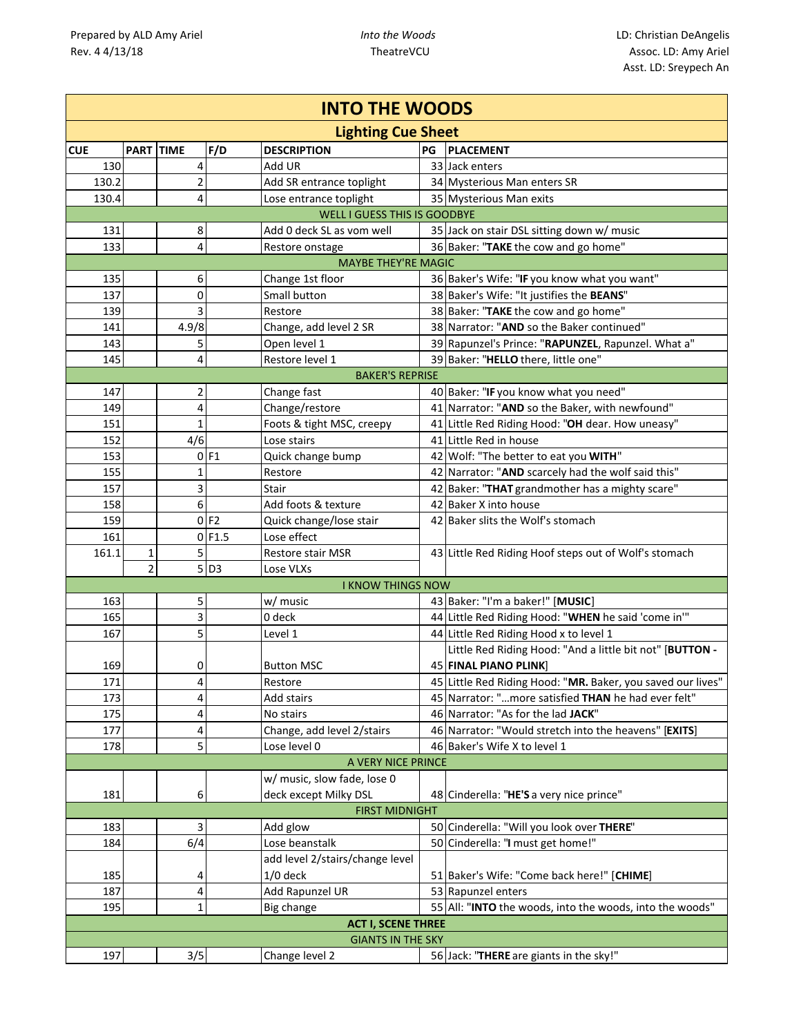| <b>INTO THE WOODS</b> |                |                |                    |                                     |    |                                                             |  |  |  |
|-----------------------|----------------|----------------|--------------------|-------------------------------------|----|-------------------------------------------------------------|--|--|--|
|                       |                |                |                    | <b>Lighting Cue Sheet</b>           |    |                                                             |  |  |  |
| <b>CUE</b>            |                | PART TIME      | F/D                | <b>DESCRIPTION</b>                  | PG | <b>PLACEMENT</b>                                            |  |  |  |
| 130                   |                | 4              |                    | Add UR                              |    | 33 Jack enters                                              |  |  |  |
| 130.2                 |                | $\overline{2}$ |                    | Add SR entrance toplight            |    | 34 Mysterious Man enters SR                                 |  |  |  |
| 130.4                 |                | 4              |                    | Lose entrance toplight              |    | 35 Mysterious Man exits                                     |  |  |  |
|                       |                |                |                    | <b>WELL I GUESS THIS IS GOODBYE</b> |    |                                                             |  |  |  |
| 131                   |                | 8              |                    | Add 0 deck SL as vom well           |    | 35 Jack on stair DSL sitting down w/ music                  |  |  |  |
| 133                   |                | 4              |                    | Restore onstage                     |    | 36 Baker: "TAKE the cow and go home"                        |  |  |  |
|                       |                |                |                    | <b>MAYBE THEY'RE MAGIC</b>          |    |                                                             |  |  |  |
| 135                   |                | 6              |                    | Change 1st floor                    |    | 36 Baker's Wife: "IF you know what you want"                |  |  |  |
| 137                   |                | 0              |                    | Small button                        |    | 38 Baker's Wife: "It justifies the BEANS"                   |  |  |  |
| 139                   |                | 3              |                    | Restore                             |    | 38 Baker: "TAKE the cow and go home"                        |  |  |  |
| 141                   |                | 4.9/8          |                    | Change, add level 2 SR              |    | 38 Narrator: "AND so the Baker continued"                   |  |  |  |
| 143                   |                | 5              |                    | Open level 1                        |    | 39 Rapunzel's Prince: "RAPUNZEL, Rapunzel. What a"          |  |  |  |
| 145                   |                | 4              |                    | Restore level 1                     |    | 39 Baker: "HELLO there, little one"                         |  |  |  |
|                       |                |                |                    | <b>BAKER'S REPRISE</b>              |    |                                                             |  |  |  |
| 147                   |                | $\overline{2}$ |                    | Change fast                         |    | 40 Baker: "IF you know what you need"                       |  |  |  |
| 149                   |                | 4              |                    | Change/restore                      |    | 41 Narrator: "AND so the Baker, with newfound"              |  |  |  |
| 151                   |                | $\mathbf 1$    |                    | Foots & tight MSC, creepy           |    | 41 Little Red Riding Hood: "OH dear. How uneasy"            |  |  |  |
| 152                   |                | 4/6            |                    | Lose stairs                         |    | 41 Little Red in house                                      |  |  |  |
| 153                   |                |                | $0$ F1             | Quick change bump                   |    | 42 Wolf: "The better to eat you WITH"                       |  |  |  |
| 155                   |                | 1              |                    | Restore                             |    | 42 Narrator: "AND scarcely had the wolf said this"          |  |  |  |
| 157                   |                | 3              |                    | <b>Stair</b>                        |    | 42 Baker: "THAT grandmother has a mighty scare"             |  |  |  |
| 158                   |                | 6              |                    | Add foots & texture                 |    | 42 Baker X into house                                       |  |  |  |
| 159                   |                |                | $0$ F <sub>2</sub> | Quick change/lose stair             |    | 42 Baker slits the Wolf's stomach                           |  |  |  |
| 161                   |                | 0              | F1.5               | Lose effect                         |    |                                                             |  |  |  |
| 161.1                 | 1              | 5              |                    | <b>Restore stair MSR</b>            |    | 43 Little Red Riding Hoof steps out of Wolf's stomach       |  |  |  |
|                       | $\overline{2}$ |                | $5$ D <sub>3</sub> | Lose VLXs                           |    |                                                             |  |  |  |
|                       |                |                |                    | <b>I KNOW THINGS NOW</b>            |    |                                                             |  |  |  |
| 163                   |                | 5              |                    | w/ music                            |    | 43 Baker: "I'm a baker!" [MUSIC]                            |  |  |  |
| 165                   |                | 3              |                    | 0 deck                              |    | 44 Little Red Riding Hood: "WHEN he said 'come in""         |  |  |  |
| 167                   |                | 5              |                    | Level 1                             |    | 44 Little Red Riding Hood x to level 1                      |  |  |  |
|                       |                |                |                    |                                     |    | Little Red Riding Hood: "And a little bit not" [BUTTON -    |  |  |  |
| 169                   |                | 0              |                    | <b>Button MSC</b>                   |    | <b>45 FINAL PIANO PLINK</b>                                 |  |  |  |
| 171                   |                | 4              |                    | Restore                             |    | 45 Little Red Riding Hood: "MR. Baker, you saved our lives" |  |  |  |
| 173                   |                | 4              |                    | Add stairs                          |    | 45 Narrator: "more satisfied THAN he had ever felt"         |  |  |  |
| 175                   |                | 4              |                    | No stairs                           |    | 46 Narrator: "As for the lad JACK"                          |  |  |  |
| 177                   |                | 4              |                    | Change, add level 2/stairs          |    | 46 Narrator: "Would stretch into the heavens" [EXITS]       |  |  |  |
| 178                   |                | 5              |                    | Lose level 0                        |    | 46 Baker's Wife X to level 1                                |  |  |  |
|                       |                |                |                    | A VERY NICE PRINCE                  |    |                                                             |  |  |  |
|                       |                |                |                    | w/ music, slow fade, lose 0         |    |                                                             |  |  |  |
| 181                   |                | 6              |                    | deck except Milky DSL               |    | 48 Cinderella: "HE'S a very nice prince"                    |  |  |  |
|                       |                |                |                    | <b>FIRST MIDNIGHT</b>               |    |                                                             |  |  |  |
| 183                   |                | 3              |                    | Add glow                            |    | 50 Cinderella: "Will you look over THERE"                   |  |  |  |
| 184                   |                | 6/4            |                    | Lose beanstalk                      |    | 50 Cinderella: "I must get home!"                           |  |  |  |
|                       |                |                |                    | add level 2/stairs/change level     |    |                                                             |  |  |  |
| 185                   |                | 4              |                    | $1/0$ deck                          |    | 51 Baker's Wife: "Come back here!" [CHIME]                  |  |  |  |
| 187                   |                | 4              |                    | Add Rapunzel UR                     |    | 53 Rapunzel enters                                          |  |  |  |
| 195                   |                | 1              |                    | Big change                          |    | 55 All: "INTO the woods, into the woods, into the woods"    |  |  |  |
|                       |                |                |                    | <b>ACT I, SCENE THREE</b>           |    |                                                             |  |  |  |
|                       |                |                |                    | <b>GIANTS IN THE SKY</b>            |    |                                                             |  |  |  |
| 197                   |                | 3/5            |                    | Change level 2                      |    | 56 Jack: "THERE are giants in the sky!"                     |  |  |  |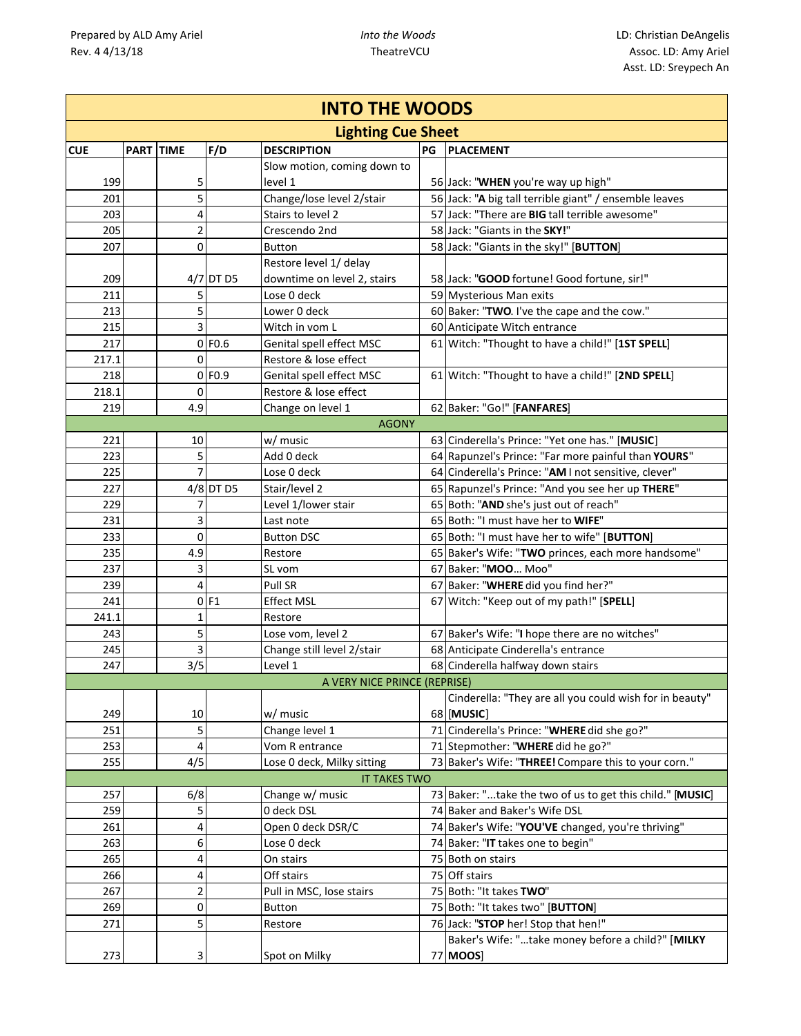|            | <b>INTO THE WOODS</b> |                |           |                              |    |                                                           |  |  |  |  |
|------------|-----------------------|----------------|-----------|------------------------------|----|-----------------------------------------------------------|--|--|--|--|
|            |                       |                |           | <b>Lighting Cue Sheet</b>    |    |                                                           |  |  |  |  |
| <b>CUE</b> | <b>PART TIME</b>      |                | F/D       | <b>DESCRIPTION</b>           | PG | <b>PLACEMENT</b>                                          |  |  |  |  |
|            |                       |                |           | Slow motion, coming down to  |    |                                                           |  |  |  |  |
| 199        |                       | 5              |           | level 1                      |    | 56 Jack: "WHEN you're way up high"                        |  |  |  |  |
| 201        |                       | 5              |           | Change/lose level 2/stair    |    | 56 Jack: "A big tall terrible giant" / ensemble leaves    |  |  |  |  |
| 203        |                       | 4              |           | Stairs to level 2            |    | 57 Jack: "There are BIG tall terrible awesome"            |  |  |  |  |
| 205        |                       | $\overline{2}$ |           | Crescendo 2nd                |    | 58 Jack: "Giants in the SKY!"                             |  |  |  |  |
| 207        |                       | 0              |           | <b>Button</b>                |    | 58 Jack: "Giants in the sky!" [BUTTON]                    |  |  |  |  |
|            |                       |                |           | Restore level 1/ delay       |    |                                                           |  |  |  |  |
| 209        |                       |                | 4/7 DT D5 | downtime on level 2, stairs  |    | 58 Jack: "GOOD fortune! Good fortune, sir!"               |  |  |  |  |
| 211        |                       | 5              |           | Lose 0 deck                  |    | 59 Mysterious Man exits                                   |  |  |  |  |
| 213        |                       | 5              |           | Lower 0 deck                 |    | 60 Baker: "TWO. I've the cape and the cow."               |  |  |  |  |
| 215        |                       | 3              |           | Witch in vom L               |    | 60 Anticipate Witch entrance                              |  |  |  |  |
| 217        |                       |                | $0$ FO.6  | Genital spell effect MSC     |    | 61 Witch: "Thought to have a child!" [1ST SPELL]          |  |  |  |  |
| 217.1      |                       | 0              |           | Restore & lose effect        |    |                                                           |  |  |  |  |
| 218        |                       |                | $0$ FO.9  | Genital spell effect MSC     |    | 61 Witch: "Thought to have a child!" [2ND SPELL]          |  |  |  |  |
| 218.1      |                       | 0              |           | Restore & lose effect        |    |                                                           |  |  |  |  |
| 219        |                       | 4.9            |           | Change on level 1            |    | 62 Baker: "Go!" [FANFARES]                                |  |  |  |  |
|            |                       |                |           | <b>AGONY</b>                 |    |                                                           |  |  |  |  |
| 221        |                       | 10             |           | w/ music                     |    | 63 Cinderella's Prince: "Yet one has." [MUSIC]            |  |  |  |  |
| 223        |                       | 5              |           | Add 0 deck                   |    | 64 Rapunzel's Prince: "Far more painful than YOURS"       |  |  |  |  |
| 225        |                       | 7              |           | Lose 0 deck                  |    | 64 Cinderella's Prince: "AM I not sensitive, clever"      |  |  |  |  |
| 227        |                       |                | 4/8 DT D5 | Stair/level 2                |    | 65 Rapunzel's Prince: "And you see her up THERE"          |  |  |  |  |
| 229        |                       | 7              |           | Level 1/lower stair          |    | 65 Both: "AND she's just out of reach"                    |  |  |  |  |
| 231        |                       | 3              |           | Last note                    |    | 65 Both: "I must have her to WIFE"                        |  |  |  |  |
| 233        |                       | $\mathbf 0$    |           | <b>Button DSC</b>            |    | 65 Both: "I must have her to wife" [BUTTON]               |  |  |  |  |
| 235        |                       | 4.9            |           | Restore                      |    | 65 Baker's Wife: "TWO princes, each more handsome"        |  |  |  |  |
| 237        |                       | 3              |           | SL vom                       |    | 67 Baker: "MOO Moo"                                       |  |  |  |  |
| 239        |                       | 4              |           | Pull SR                      |    | 67 Baker: "WHERE did you find her?"                       |  |  |  |  |
| 241        |                       | $\Omega$       | F1        | <b>Effect MSL</b>            |    | 67 Witch: "Keep out of my path!" [SPELL]                  |  |  |  |  |
| 241.1      |                       | $\mathbf{1}$   |           | Restore                      |    |                                                           |  |  |  |  |
| 243        |                       | 5              |           | Lose vom, level 2            |    | 67 Baker's Wife: "I hope there are no witches"            |  |  |  |  |
| 245        |                       | 3              |           | Change still level 2/stair   |    | 68 Anticipate Cinderella's entrance                       |  |  |  |  |
| 247        |                       | 3/5            |           | Level 1                      |    | 68 Cinderella halfway down stairs                         |  |  |  |  |
|            |                       |                |           | A VERY NICE PRINCE (REPRISE) |    |                                                           |  |  |  |  |
|            |                       |                |           |                              |    | Cinderella: "They are all you could wish for in beauty"   |  |  |  |  |
| 249        |                       | 10             |           | w/ music                     |    | 68 [MUSIC]                                                |  |  |  |  |
| 251        |                       | 5              |           | Change level 1               |    | 71 Cinderella's Prince: "WHERE did she go?"               |  |  |  |  |
| 253        |                       | 4              |           | Vom R entrance               |    | 71 Stepmother: "WHERE did he go?"                         |  |  |  |  |
| 255        |                       | 4/5            |           | Lose 0 deck, Milky sitting   |    | 73 Baker's Wife: "THREE! Compare this to your corn."      |  |  |  |  |
|            |                       |                |           | <b>IT TAKES TWO</b>          |    |                                                           |  |  |  |  |
| 257        |                       | 6/8            |           | Change w/ music              |    | 73 Baker: "take the two of us to get this child." [MUSIC] |  |  |  |  |
| 259        |                       | 5              |           | 0 deck DSL                   |    | 74 Baker and Baker's Wife DSL                             |  |  |  |  |
| 261        |                       | 4              |           | Open 0 deck DSR/C            |    | 74 Baker's Wife: "YOU'VE changed, you're thriving"        |  |  |  |  |
| 263        |                       | 6              |           | Lose 0 deck                  |    | 74 Baker: "IT takes one to begin"                         |  |  |  |  |
| 265        |                       | 4              |           | On stairs                    |    | 75 Both on stairs                                         |  |  |  |  |
| 266        |                       | 4              |           | Off stairs                   |    | 75 Off stairs                                             |  |  |  |  |
| 267        |                       | $\overline{c}$ |           | Pull in MSC, lose stairs     |    | 75 Both: "It takes TWO"                                   |  |  |  |  |
| 269        |                       | 0              |           | Button                       |    | 75 Both: "It takes two" [BUTTON]                          |  |  |  |  |
| 271        |                       | 5              |           | Restore                      |    | 76 Jack: "STOP her! Stop that hen!"                       |  |  |  |  |
|            |                       |                |           |                              |    | Baker's Wife: "take money before a child?" [MILKY         |  |  |  |  |
| 273        |                       | 3              |           | Spot on Milky                |    | 77 MOOS]                                                  |  |  |  |  |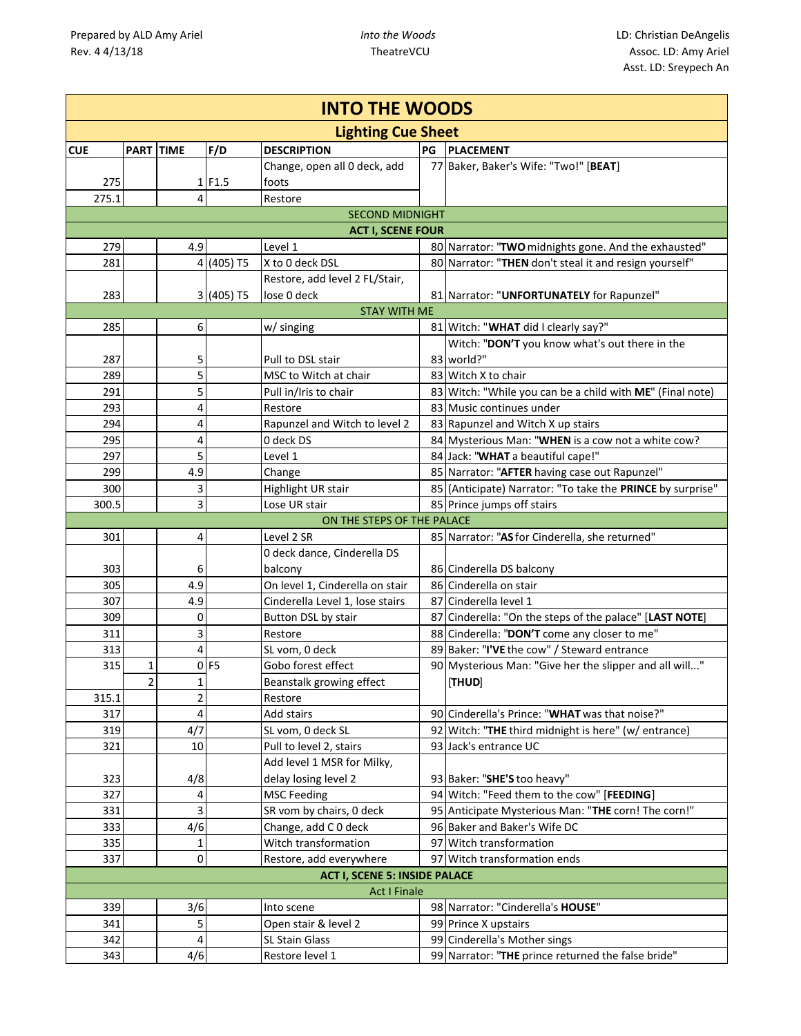| <b>INTO THE WOODS</b> |           |     |                    |                                        |    |                                                            |  |  |  |
|-----------------------|-----------|-----|--------------------|----------------------------------------|----|------------------------------------------------------------|--|--|--|
|                       |           |     |                    | <b>Lighting Cue Sheet</b>              |    |                                                            |  |  |  |
| <b>CUE</b>            | PART TIME |     | F/D                | <b>DESCRIPTION</b>                     | PG | <b>PLACEMENT</b>                                           |  |  |  |
|                       |           |     |                    | Change, open all 0 deck, add           |    | 77 Baker, Baker's Wife: "Two!" [BEAT]                      |  |  |  |
| 275                   |           |     | 1 F1.5             | foots                                  |    |                                                            |  |  |  |
| 275.1                 |           | 4   |                    | Restore                                |    |                                                            |  |  |  |
|                       |           |     |                    | <b>SECOND MIDNIGHT</b>                 |    |                                                            |  |  |  |
|                       |           |     |                    | <b>ACT I, SCENE FOUR</b>               |    |                                                            |  |  |  |
| 279                   |           | 4.9 |                    | Level 1                                |    | 80 Narrator: "TWO midnights gone. And the exhausted"       |  |  |  |
| 281                   |           |     | 4 (405) T5         | X to 0 deck DSL                        |    | 80 Narrator: "THEN don't steal it and resign yourself"     |  |  |  |
|                       |           |     |                    | Restore, add level 2 FL/Stair,         |    |                                                            |  |  |  |
| 283                   |           |     | 3 (405) T5         | lose 0 deck                            |    | 81 Narrator: "UNFORTUNATELY for Rapunzel"                  |  |  |  |
|                       |           |     |                    | <b>STAY WITH ME</b>                    |    |                                                            |  |  |  |
| 285                   |           | 6   |                    | w/ singing                             |    | 81 Witch: "WHAT did I clearly say?"                        |  |  |  |
|                       |           |     |                    |                                        |    | Witch: "DON'T you know what's out there in the             |  |  |  |
| 287                   |           | 5   |                    | Pull to DSL stair                      |    | 83 world?"                                                 |  |  |  |
| 289                   |           | 5   |                    | MSC to Witch at chair                  |    | 83 Witch X to chair                                        |  |  |  |
| 291                   |           | 5   |                    | Pull in/Iris to chair                  |    | 83 Witch: "While you can be a child with ME" (Final note)  |  |  |  |
| 293                   |           | 4   |                    | Restore                                |    | 83 Music continues under                                   |  |  |  |
| 294                   |           | 4   |                    | Rapunzel and Witch to level 2          |    | 83 Rapunzel and Witch X up stairs                          |  |  |  |
| 295                   |           | 4   |                    | 0 deck DS                              |    | 84 Mysterious Man: "WHEN is a cow not a white cow?         |  |  |  |
| 297                   |           | 5   |                    | Level 1                                |    | 84 Jack: "WHAT a beautiful cape!"                          |  |  |  |
| 299                   |           | 4.9 |                    | Change                                 |    | 85 Narrator: "AFTER having case out Rapunzel"              |  |  |  |
| 300                   |           | 3   |                    | Highlight UR stair                     |    | 85 (Anticipate) Narrator: "To take the PRINCE by surprise" |  |  |  |
| 300.5                 |           | 3   |                    | Lose UR stair                          |    | 85 Prince jumps off stairs                                 |  |  |  |
|                       |           |     |                    | ON THE STEPS OF THE PALACE             |    |                                                            |  |  |  |
| 301                   |           | 4   |                    | Level 2 SR                             |    | 85 Narrator: "AS for Cinderella, she returned"             |  |  |  |
| 303                   |           | 6   |                    | 0 deck dance, Cinderella DS<br>balcony |    | 86 Cinderella DS balcony                                   |  |  |  |
| 305                   |           | 4.9 |                    | On level 1, Cinderella on stair        |    | 86 Cinderella on stair                                     |  |  |  |
| 307                   |           | 4.9 |                    | Cinderella Level 1, lose stairs        |    | 87 Cinderella level 1                                      |  |  |  |
| 309                   |           | 0   |                    | Button DSL by stair                    |    | 87 Cinderella: "On the steps of the palace" [LAST NOTE]    |  |  |  |
| 311                   |           | 3   |                    | Restore                                |    | 88 Cinderella: "DON'T come any closer to me"               |  |  |  |
| 313                   |           | 4   |                    | SL vom, 0 deck                         |    | 89 Baker: "I'VE the cow" / Steward entrance                |  |  |  |
| 315                   | 1         |     | $0$ F <sub>5</sub> | Gobo forest effect                     |    | 90 Mysterious Man: "Give her the slipper and all will"     |  |  |  |
|                       | 2         | 1   |                    | Beanstalk growing effect               |    | <b>THUD</b>                                                |  |  |  |
| 315.1                 |           | 2   |                    | Restore                                |    |                                                            |  |  |  |
| 317                   |           | 4   |                    | Add stairs                             |    | 90 Cinderella's Prince: "WHAT was that noise?"             |  |  |  |
| 319                   |           | 4/7 |                    | SL vom, 0 deck SL                      |    | 92 Witch: "THE third midnight is here" (w/ entrance)       |  |  |  |
| 321                   |           | 10  |                    | Pull to level 2, stairs                |    | 93 Jack's entrance UC                                      |  |  |  |
|                       |           |     |                    | Add level 1 MSR for Milky,             |    |                                                            |  |  |  |
| 323                   |           | 4/8 |                    | delay losing level 2                   |    | 93 Baker: "SHE'S too heavy"                                |  |  |  |
| 327                   |           | 4   |                    | <b>MSC Feeding</b>                     |    | 94 Witch: "Feed them to the cow" [FEEDING]                 |  |  |  |
| 331                   |           | 3   |                    | SR vom by chairs, 0 deck               |    | 95 Anticipate Mysterious Man: "THE corn! The corn!"        |  |  |  |
| 333                   |           | 4/6 |                    | Change, add C 0 deck                   |    | 96 Baker and Baker's Wife DC                               |  |  |  |
| 335                   |           | 1   |                    | Witch transformation                   |    | 97 Witch transformation                                    |  |  |  |
| 337                   |           | 0   |                    | Restore, add everywhere                |    | 97 Witch transformation ends                               |  |  |  |
|                       |           |     |                    | <b>ACT I, SCENE 5: INSIDE PALACE</b>   |    |                                                            |  |  |  |
|                       |           |     |                    | <b>Act I Finale</b>                    |    |                                                            |  |  |  |
| 339                   |           | 3/6 |                    | Into scene                             |    | 98 Narrator: "Cinderella's HOUSE"                          |  |  |  |
| 341                   |           | 5   |                    | Open stair & level 2                   |    | 99 Prince X upstairs                                       |  |  |  |
| 342                   |           | 4   |                    | SL Stain Glass                         |    | 99 Cinderella's Mother sings                               |  |  |  |
| 343                   |           | 4/6 |                    | Restore level 1                        |    | 99 Narrator: "THE prince returned the false bride"         |  |  |  |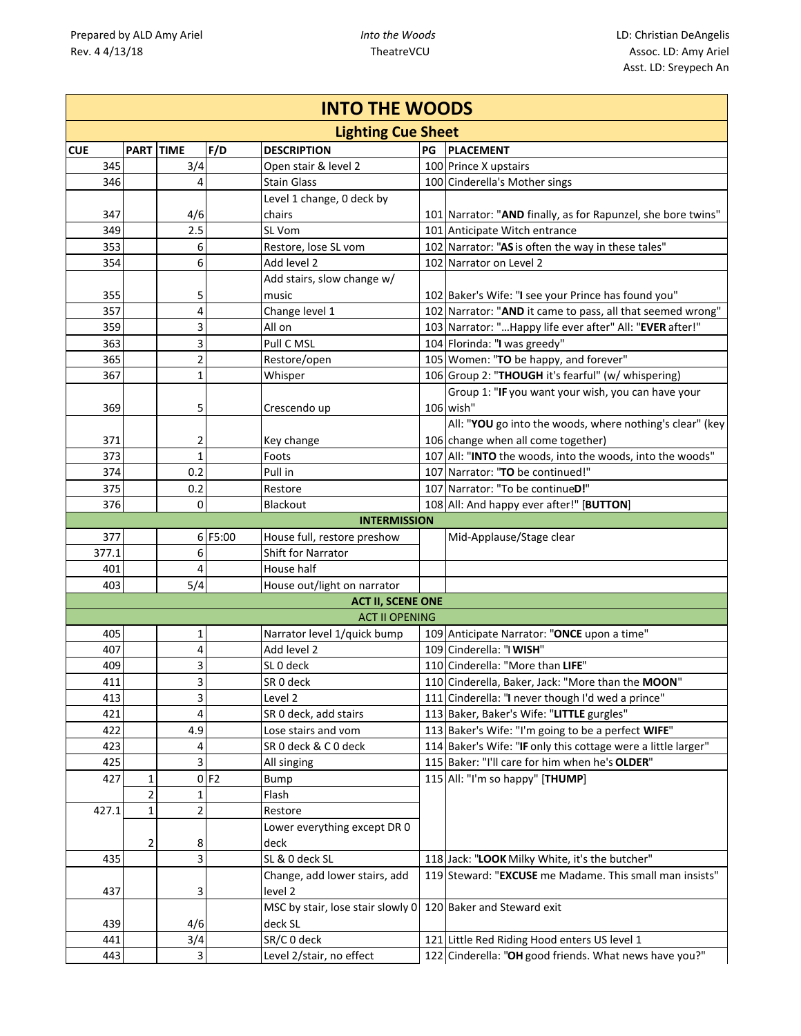| <b>INTO THE WOODS</b> |                |              |         |                                              |    |                                                               |  |  |  |
|-----------------------|----------------|--------------|---------|----------------------------------------------|----|---------------------------------------------------------------|--|--|--|
|                       |                |              |         | <b>Lighting Cue Sheet</b>                    |    |                                                               |  |  |  |
| <b>CUE</b>            | PART TIME      |              | F/D     | <b>DESCRIPTION</b>                           | PG | <b>PLACEMENT</b>                                              |  |  |  |
| 345                   |                | 3/4          |         | Open stair & level 2                         |    | 100 Prince X upstairs                                         |  |  |  |
| 346                   |                | 4            |         | <b>Stain Glass</b>                           |    | 100 Cinderella's Mother sings                                 |  |  |  |
|                       |                |              |         | Level 1 change, 0 deck by                    |    |                                                               |  |  |  |
| 347                   |                | 4/6          |         | chairs                                       |    | 101 Narrator: "AND finally, as for Rapunzel, she bore twins"  |  |  |  |
| 349                   |                | 2.5          |         | SL Vom                                       |    | 101 Anticipate Witch entrance                                 |  |  |  |
| 353                   |                | 6            |         | Restore, lose SL vom                         |    | 102 Narrator: "AS is often the way in these tales"            |  |  |  |
| 354                   |                | 6            |         | Add level 2                                  |    | 102 Narrator on Level 2                                       |  |  |  |
|                       |                |              |         | Add stairs, slow change w/                   |    |                                                               |  |  |  |
| 355                   |                | 5            |         | music                                        |    | 102 Baker's Wife: "I see your Prince has found you"           |  |  |  |
| 357                   |                | 4            |         | Change level 1                               |    | 102 Narrator: "AND it came to pass, all that seemed wrong"    |  |  |  |
| 359                   |                | 3            |         | All on                                       |    | 103 Narrator: " Happy life ever after" All: "EVER after!"     |  |  |  |
| 363                   |                | 3            |         | Pull C MSL                                   |    | 104 Florinda: "I was greedy"                                  |  |  |  |
| 365                   |                | 2            |         | Restore/open                                 |    | 105 Women: "TO be happy, and forever"                         |  |  |  |
| 367                   |                | $\mathbf{1}$ |         | Whisper                                      |    | 106 Group 2: "THOUGH it's fearful" (w/ whispering)            |  |  |  |
|                       |                |              |         |                                              |    | Group 1: "IF you want your wish, you can have your            |  |  |  |
| 369                   |                | 5            |         | Crescendo up                                 |    | 106 wish"                                                     |  |  |  |
|                       |                |              |         |                                              |    | All: "YOU go into the woods, where nothing's clear" (key      |  |  |  |
| 371                   |                | 2            |         | Key change                                   |    | 106 change when all come together)                            |  |  |  |
| 373                   |                | $\mathbf{1}$ |         | Foots                                        |    | 107 All: "INTO the woods, into the woods, into the woods"     |  |  |  |
| 374                   |                | 0.2          |         | Pull in                                      |    | 107 Narrator: "TO be continued!"                              |  |  |  |
| 375                   |                | 0.2          |         | Restore                                      |    | 107 Narrator: "To be continueD!"                              |  |  |  |
| 376                   |                | $\Omega$     |         | <b>Blackout</b>                              |    | 108 All: And happy ever after!" [BUTTON]                      |  |  |  |
|                       |                |              |         | <b>INTERMISSION</b>                          |    |                                                               |  |  |  |
| 377                   |                |              | 6 F5:00 | House full, restore preshow                  |    | Mid-Applause/Stage clear                                      |  |  |  |
| 377.1                 |                | 6            |         | <b>Shift for Narrator</b>                    |    |                                                               |  |  |  |
| 401                   |                | 4            |         | House half                                   |    |                                                               |  |  |  |
| 403                   |                | 5/4          |         | House out/light on narrator                  |    |                                                               |  |  |  |
|                       |                |              |         | <b>ACT II, SCENE ONE</b>                     |    |                                                               |  |  |  |
|                       |                |              |         | <b>ACT II OPENING</b>                        |    |                                                               |  |  |  |
| 405                   |                | 1            |         | Narrator level 1/quick bump                  |    | 109 Anticipate Narrator: "ONCE upon a time"                   |  |  |  |
| 407                   |                | 4            |         | Add level 2                                  |    | 109 Cinderella: "I WISH"                                      |  |  |  |
| 409                   |                | 3            |         | SLO deck                                     |    | 110 Cinderella: "More than LIFE"                              |  |  |  |
| 411                   |                | 3            |         | SR 0 deck                                    |    | 110 Cinderella, Baker, Jack: "More than the MOON"             |  |  |  |
| 413                   |                | 3            |         | Level 2                                      |    | 111 Cinderella: "I never though I'd wed a prince"             |  |  |  |
| 421                   |                | 4            |         | SR 0 deck, add stairs                        |    | 113 Baker, Baker's Wife: "LITTLE gurgles"                     |  |  |  |
| 422                   |                | 4.9          |         | Lose stairs and vom                          |    | 113 Baker's Wife: "I'm going to be a perfect WIFE"            |  |  |  |
| 423                   |                | 4            |         | SR 0 deck & C 0 deck                         |    | 114 Baker's Wife: "IF only this cottage were a little larger" |  |  |  |
| 425                   |                | 3            |         | All singing                                  |    | 115 Baker: "I'll care for him when he's OLDER"                |  |  |  |
| 427                   | 1              |              | 0 F2    | Bump                                         |    | 115 All: "I'm so happy" [THUMP]                               |  |  |  |
|                       | $\overline{2}$ | 1            |         | Flash                                        |    |                                                               |  |  |  |
| 427.1                 | 1              | 2            |         | Restore                                      |    |                                                               |  |  |  |
|                       |                |              |         | Lower everything except DR 0                 |    |                                                               |  |  |  |
|                       | 2              | 8            |         | deck                                         |    |                                                               |  |  |  |
| 435                   |                | 3            |         | SL & 0 deck SL                               |    | 118 Jack: "LOOK Milky White, it's the butcher"                |  |  |  |
|                       |                |              |         | Change, add lower stairs, add                |    | 119 Steward: "EXCUSE me Madame. This small man insists"       |  |  |  |
| 437                   |                | 3            |         | level 2                                      |    |                                                               |  |  |  |
| 439                   |                | 4/6          |         | MSC by stair, lose stair slowly 0<br>deck SL |    | 120 Baker and Steward exit                                    |  |  |  |
| 441                   |                | 3/4          |         | SR/C 0 deck                                  |    | 121 Little Red Riding Hood enters US level 1                  |  |  |  |
| 443                   |                | 3            |         | Level 2/stair, no effect                     |    | 122 Cinderella: "OH good friends. What news have you?"        |  |  |  |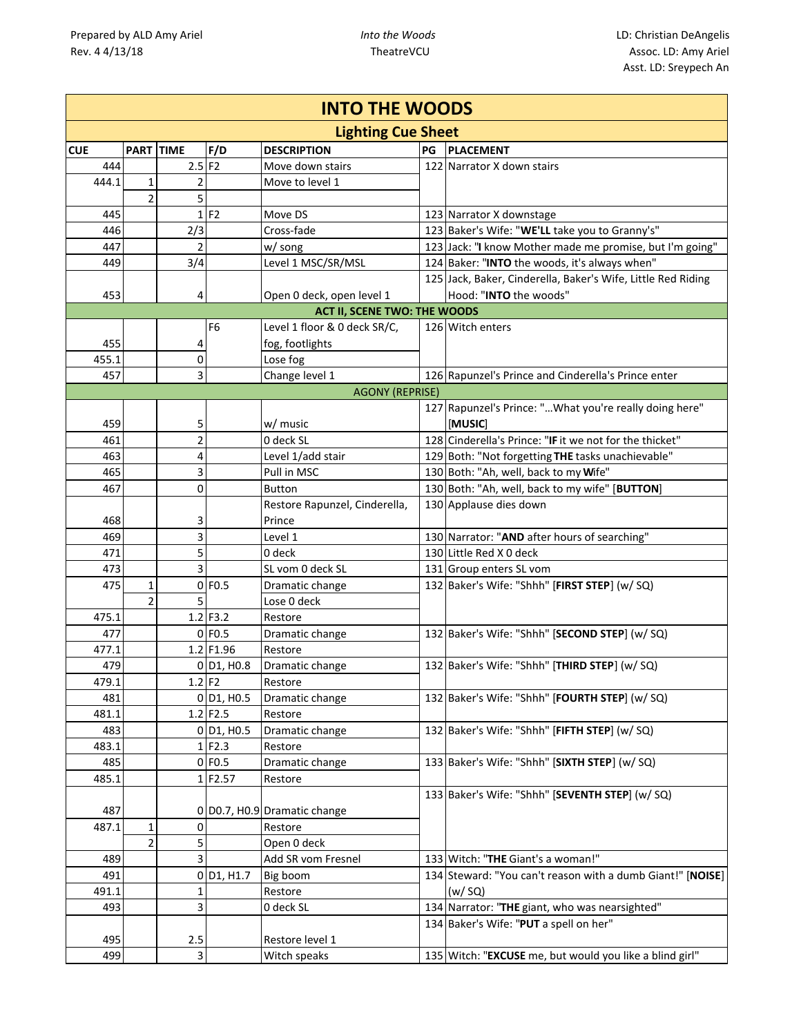| <b>INTO THE WOODS</b> |                           |                      |                                       |                                     |    |                                                              |  |  |  |  |  |
|-----------------------|---------------------------|----------------------|---------------------------------------|-------------------------------------|----|--------------------------------------------------------------|--|--|--|--|--|
|                       | <b>Lighting Cue Sheet</b> |                      |                                       |                                     |    |                                                              |  |  |  |  |  |
| <b>CUE</b>            | PART TIME                 |                      | F/D                                   | <b>DESCRIPTION</b>                  | PG | <b>PLACEMENT</b>                                             |  |  |  |  |  |
| 444                   |                           | $2.5$ F <sub>2</sub> |                                       | Move down stairs                    |    | 122 Narrator X down stairs                                   |  |  |  |  |  |
| 444.1                 | 1                         | 2                    |                                       | Move to level 1                     |    |                                                              |  |  |  |  |  |
|                       | $\overline{2}$            | 5                    |                                       |                                     |    |                                                              |  |  |  |  |  |
| 445                   |                           | 1                    | F2                                    | Move DS                             |    | 123 Narrator X downstage                                     |  |  |  |  |  |
| 446                   |                           | 2/3                  |                                       | Cross-fade                          |    | 123 Baker's Wife: "WE'LL take you to Granny's"               |  |  |  |  |  |
| 447                   |                           | 2                    |                                       | w/ song                             |    | 123 Jack: "I know Mother made me promise, but I'm going"     |  |  |  |  |  |
| 449                   |                           | 3/4                  |                                       | Level 1 MSC/SR/MSL                  |    | 124 Baker: "INTO the woods, it's always when"                |  |  |  |  |  |
|                       |                           |                      |                                       |                                     |    | 125 Jack, Baker, Cinderella, Baker's Wife, Little Red Riding |  |  |  |  |  |
| 453                   |                           | 4                    |                                       | Open 0 deck, open level 1           |    | Hood: "INTO the woods"                                       |  |  |  |  |  |
|                       |                           |                      |                                       | <b>ACT II, SCENE TWO: THE WOODS</b> |    |                                                              |  |  |  |  |  |
|                       |                           |                      | F <sub>6</sub>                        | Level 1 floor & 0 deck SR/C,        |    | 126 Witch enters                                             |  |  |  |  |  |
| 455                   |                           | 4                    |                                       | fog, footlights                     |    |                                                              |  |  |  |  |  |
| 455.1                 |                           | 0                    |                                       | Lose fog                            |    |                                                              |  |  |  |  |  |
| 457                   |                           | 3                    |                                       | Change level 1                      |    | 126 Rapunzel's Prince and Cinderella's Prince enter          |  |  |  |  |  |
|                       |                           |                      |                                       | <b>AGONY (REPRISE)</b>              |    |                                                              |  |  |  |  |  |
|                       |                           |                      |                                       |                                     |    | 127 Rapunzel's Prince: " What you're really doing here"      |  |  |  |  |  |
| 459                   |                           | 5                    |                                       | w/ music                            |    | <b>MUSIC</b>                                                 |  |  |  |  |  |
| 461                   |                           | $\overline{2}$       |                                       | 0 deck SL                           |    | 128 Cinderella's Prince: "IF it we not for the thicket"      |  |  |  |  |  |
| 463                   |                           | 4                    |                                       | Level 1/add stair                   |    | 129 Both: "Not forgetting THE tasks unachievable"            |  |  |  |  |  |
| 465                   |                           | 3                    |                                       | Pull in MSC                         |    | 130 Both: "Ah, well, back to my Wife"                        |  |  |  |  |  |
| 467                   |                           | 0                    |                                       | <b>Button</b>                       |    | 130 Both: "Ah, well, back to my wife" [BUTTON]               |  |  |  |  |  |
|                       |                           |                      |                                       | Restore Rapunzel, Cinderella,       |    | 130 Applause dies down                                       |  |  |  |  |  |
| 468                   |                           | 3                    |                                       | Prince                              |    |                                                              |  |  |  |  |  |
| 469                   |                           | 3                    |                                       | Level 1                             |    | 130 Narrator: "AND after hours of searching"                 |  |  |  |  |  |
| 471                   |                           | 5                    |                                       | 0 deck                              |    | 130 Little Red X 0 deck                                      |  |  |  |  |  |
| 473                   |                           | 3                    |                                       | SL vom 0 deck SL                    |    | 131 Group enters SL vom                                      |  |  |  |  |  |
| 475                   | $\mathbf{1}$              |                      | $0$ FO.5                              | Dramatic change                     |    | 132 Baker's Wife: "Shhh" [FIRST STEP] (w/ SQ)                |  |  |  |  |  |
|                       | $\overline{2}$            | 5                    |                                       | Lose 0 deck                         |    |                                                              |  |  |  |  |  |
| 475.1                 |                           |                      | $1.2$ F3.2                            | Restore                             |    |                                                              |  |  |  |  |  |
| 477                   |                           |                      | $0$ FO.5                              | Dramatic change                     |    | 132 Baker's Wife: "Shhh" [SECOND STEP] (w/ SQ)               |  |  |  |  |  |
| 477.1                 |                           |                      | 1.2 F1.96                             | Restore                             |    |                                                              |  |  |  |  |  |
| 479                   |                           |                      | 0 D1, H0.8                            | Dramatic change                     |    | 132 Baker's Wife: "Shhh" [THIRD STEP] (w/ SQ)                |  |  |  |  |  |
| 479.1                 |                           | $1.2$ F <sub>2</sub> |                                       | Restore                             |    |                                                              |  |  |  |  |  |
| 481                   |                           |                      | $0$ D <sub>1</sub> , H <sub>0.5</sub> | Dramatic change                     |    | 132 Baker's Wife: "Shhh" [FOURTH STEP] (w/ SQ)               |  |  |  |  |  |
| 481.1                 |                           |                      | $1.2$ F2.5                            | Restore                             |    |                                                              |  |  |  |  |  |
| 483                   |                           |                      | $0$ D <sub>1</sub> , H <sub>0.5</sub> | Dramatic change                     |    | 132 Baker's Wife: "Shhh" [FIFTH STEP] (w/ SQ)                |  |  |  |  |  |
| 483.1                 |                           |                      | $1$ F <sub>2.3</sub>                  | Restore                             |    |                                                              |  |  |  |  |  |
| 485                   |                           |                      | 0 F0.5                                | Dramatic change                     |    | 133 Baker's Wife: "Shhh" [SIXTH STEP] (w/ SQ)                |  |  |  |  |  |
| 485.1                 |                           |                      | 1F2.57                                | Restore                             |    |                                                              |  |  |  |  |  |
|                       |                           |                      |                                       |                                     |    | 133 Baker's Wife: "Shhh" [SEVENTH STEP] (w/ SQ)              |  |  |  |  |  |
| 487                   |                           |                      |                                       | 0 D0.7, H0.9 Dramatic change        |    |                                                              |  |  |  |  |  |
| 487.1                 | $\mathbf{1}$              | 0                    |                                       | Restore                             |    |                                                              |  |  |  |  |  |
|                       | 2                         | 5                    |                                       | Open 0 deck                         |    |                                                              |  |  |  |  |  |
| 489                   |                           | 3                    |                                       | Add SR vom Fresnel                  |    | 133 Witch: "THE Giant's a woman!"                            |  |  |  |  |  |
| 491                   |                           |                      | $0$ D <sub>1</sub> , H <sub>1.7</sub> | Big boom                            |    | 134 Steward: "You can't reason with a dumb Giant!" [NOISE]   |  |  |  |  |  |
| 491.1                 |                           | 1                    |                                       | Restore                             |    | (w/SQ)                                                       |  |  |  |  |  |
| 493                   |                           | 3                    |                                       | 0 deck SL                           |    | 134 Narrator: "THE giant, who was nearsighted"               |  |  |  |  |  |
|                       |                           |                      |                                       |                                     |    | 134 Baker's Wife: "PUT a spell on her"                       |  |  |  |  |  |
| 495                   |                           | 2.5                  |                                       | Restore level 1                     |    |                                                              |  |  |  |  |  |
| 499                   |                           | 3                    |                                       | Witch speaks                        |    | 135 Witch: "EXCUSE me, but would you like a blind girl"      |  |  |  |  |  |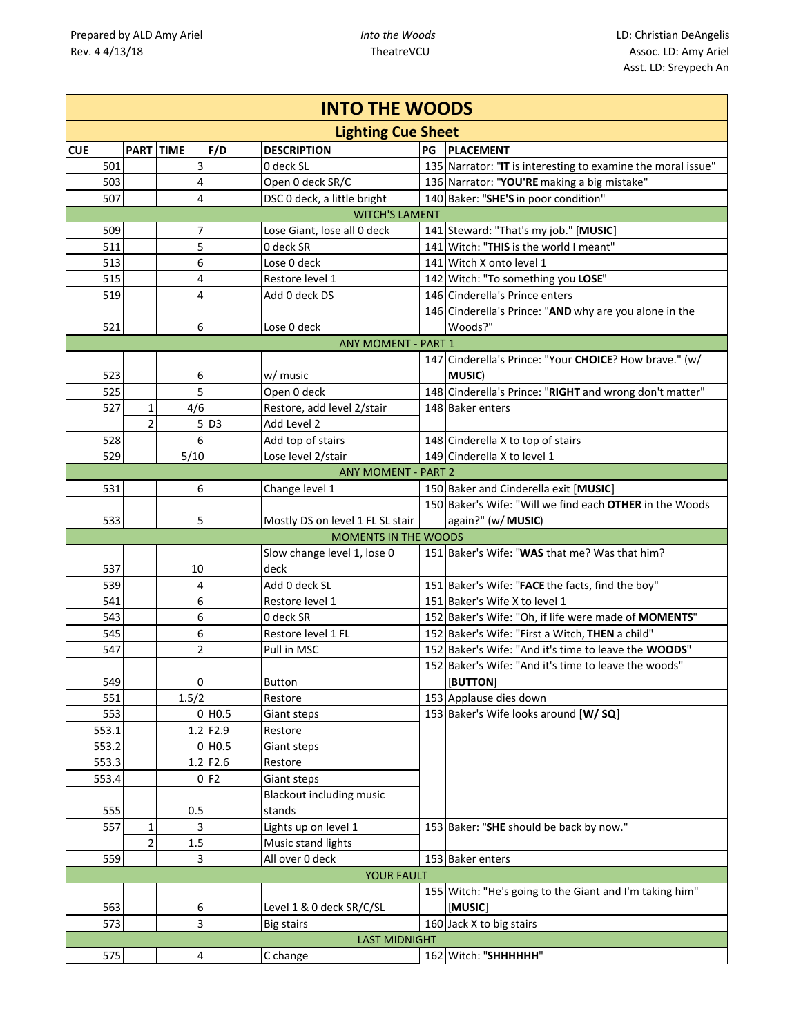|            | <b>INTO THE WOODS</b>       |                  |                    |                                  |    |                                                              |  |  |  |  |  |
|------------|-----------------------------|------------------|--------------------|----------------------------------|----|--------------------------------------------------------------|--|--|--|--|--|
|            |                             |                  |                    | <b>Lighting Cue Sheet</b>        |    |                                                              |  |  |  |  |  |
| <b>CUE</b> |                             | <b>PART TIME</b> | F/D                | <b>DESCRIPTION</b>               | PG | <b>PLACEMENT</b>                                             |  |  |  |  |  |
| 501        |                             | 3                |                    | 0 deck SL                        |    | 135 Narrator: "IT is interesting to examine the moral issue" |  |  |  |  |  |
| 503        |                             | 4                |                    | Open 0 deck SR/C                 |    | 136 Narrator: "YOU'RE making a big mistake"                  |  |  |  |  |  |
| 507        |                             | 4                |                    | DSC 0 deck, a little bright      |    | 140 Baker: "SHE'S in poor condition"                         |  |  |  |  |  |
|            |                             |                  |                    |                                  |    |                                                              |  |  |  |  |  |
| 509        |                             | 7                |                    | Lose Giant, lose all 0 deck      |    | 141 Steward: "That's my job." [MUSIC]                        |  |  |  |  |  |
| 511        |                             | 5                |                    | 0 deck SR                        |    | 141 Witch: "THIS is the world I meant"                       |  |  |  |  |  |
| 513        |                             | 6                |                    | Lose 0 deck                      |    | 141 Witch X onto level 1                                     |  |  |  |  |  |
| 515        |                             | 4                |                    | Restore level 1                  |    | 142 Witch: "To something you LOSE"                           |  |  |  |  |  |
| 519        |                             | 4                |                    | Add 0 deck DS                    |    | 146 Cinderella's Prince enters                               |  |  |  |  |  |
|            |                             |                  |                    |                                  |    | 146 Cinderella's Prince: "AND why are you alone in the       |  |  |  |  |  |
| 521        |                             | 6                |                    | Lose 0 deck                      |    | Woods?"                                                      |  |  |  |  |  |
|            |                             |                  |                    | <b>ANY MOMENT - PART 1</b>       |    |                                                              |  |  |  |  |  |
|            |                             |                  |                    |                                  |    | 147 Cinderella's Prince: "Your CHOICE? How brave." (w/       |  |  |  |  |  |
| 523        |                             | 6                |                    | w/ music                         |    | <b>MUSIC</b> )                                               |  |  |  |  |  |
| 525        |                             | 5                |                    | Open 0 deck                      |    | 148 Cinderella's Prince: "RIGHT and wrong don't matter"      |  |  |  |  |  |
| 527        | $\mathbf{1}$                | 4/6              |                    | Restore, add level 2/stair       |    | 148 Baker enters                                             |  |  |  |  |  |
|            | $\overline{2}$              |                  | $5$ D <sub>3</sub> | Add Level 2                      |    |                                                              |  |  |  |  |  |
| 528        |                             | 6                |                    | Add top of stairs                |    | 148 Cinderella X to top of stairs                            |  |  |  |  |  |
| 529        |                             | 5/10             |                    | Lose level 2/stair               |    | 149 Cinderella X to level 1                                  |  |  |  |  |  |
|            |                             |                  |                    | <b>ANY MOMENT - PART 2</b>       |    |                                                              |  |  |  |  |  |
| 531        |                             | 6                |                    | Change level 1                   |    | 150 Baker and Cinderella exit [MUSIC]                        |  |  |  |  |  |
|            |                             |                  |                    |                                  |    | 150 Baker's Wife: "Will we find each OTHER in the Woods      |  |  |  |  |  |
| 533        |                             | 5                |                    | Mostly DS on level 1 FL SL stair |    | again?" (w/ MUSIC)                                           |  |  |  |  |  |
|            | <b>MOMENTS IN THE WOODS</b> |                  |                    |                                  |    |                                                              |  |  |  |  |  |
|            |                             |                  |                    | Slow change level 1, lose 0      |    | 151 Baker's Wife: "WAS that me? Was that him?                |  |  |  |  |  |
| 537        |                             | 10               |                    | deck                             |    |                                                              |  |  |  |  |  |
| 539        |                             | 4                |                    | Add 0 deck SL                    |    | 151 Baker's Wife: "FACE the facts, find the boy"             |  |  |  |  |  |
| 541        |                             | 6                |                    | Restore level 1                  |    | 151 Baker's Wife X to level 1                                |  |  |  |  |  |
| 543        |                             | 6                |                    | 0 deck SR                        |    | 152 Baker's Wife: "Oh, if life were made of MOMENTS"         |  |  |  |  |  |
| 545        |                             | 6                |                    | Restore level 1 FL               |    | 152 Baker's Wife: "First a Witch, THEN a child"              |  |  |  |  |  |
| 547        |                             | 2                |                    | Pull in MSC                      |    | 152 Baker's Wife: "And it's time to leave the WOODS"         |  |  |  |  |  |
|            |                             |                  |                    |                                  |    | 152 Baker's Wife: "And it's time to leave the woods"         |  |  |  |  |  |
| 549        |                             | $\Omega$         |                    | Button                           |    | [BUTTON]                                                     |  |  |  |  |  |
| 551        |                             | 1.5/2            |                    | Restore                          |    | 153 Applause dies down                                       |  |  |  |  |  |
| 553        |                             |                  | $0$ HO.5           | Giant steps                      |    | 153 Baker's Wife looks around [W/ SQ]                        |  |  |  |  |  |
| 553.1      |                             |                  | 1.2 F2.9           | Restore                          |    |                                                              |  |  |  |  |  |
| 553.2      |                             |                  | $0$ HO.5           | Giant steps                      |    |                                                              |  |  |  |  |  |
| 553.3      |                             |                  | 1.2 F2.6           | Restore                          |    |                                                              |  |  |  |  |  |
| 553.4      |                             |                  | 0 F2               | Giant steps                      |    |                                                              |  |  |  |  |  |
|            |                             |                  |                    | <b>Blackout including music</b>  |    |                                                              |  |  |  |  |  |
| 555        |                             | 0.5              |                    | stands                           |    |                                                              |  |  |  |  |  |
| 557        | $\mathbf{1}$                | 3                |                    | Lights up on level 1             |    | 153 Baker: "SHE should be back by now."                      |  |  |  |  |  |
|            | $\overline{2}$              | 1.5              |                    | Music stand lights               |    |                                                              |  |  |  |  |  |
| 559        |                             | 3                |                    | All over 0 deck                  |    | 153 Baker enters                                             |  |  |  |  |  |
|            |                             |                  |                    | <b>YOUR FAULT</b>                |    |                                                              |  |  |  |  |  |
|            |                             |                  |                    |                                  |    | 155 Witch: "He's going to the Giant and I'm taking him"      |  |  |  |  |  |
| 563        |                             | 6                |                    | Level 1 & 0 deck SR/C/SL         |    | [MUSIC]                                                      |  |  |  |  |  |
| 573        |                             | 3                |                    | <b>Big stairs</b>                |    | 160 Jack X to big stairs                                     |  |  |  |  |  |
|            |                             |                  |                    | <b>LAST MIDNIGHT</b>             |    |                                                              |  |  |  |  |  |
| 575        |                             | 4                |                    | C change                         |    | 162 Witch: "SHHHHHH"                                         |  |  |  |  |  |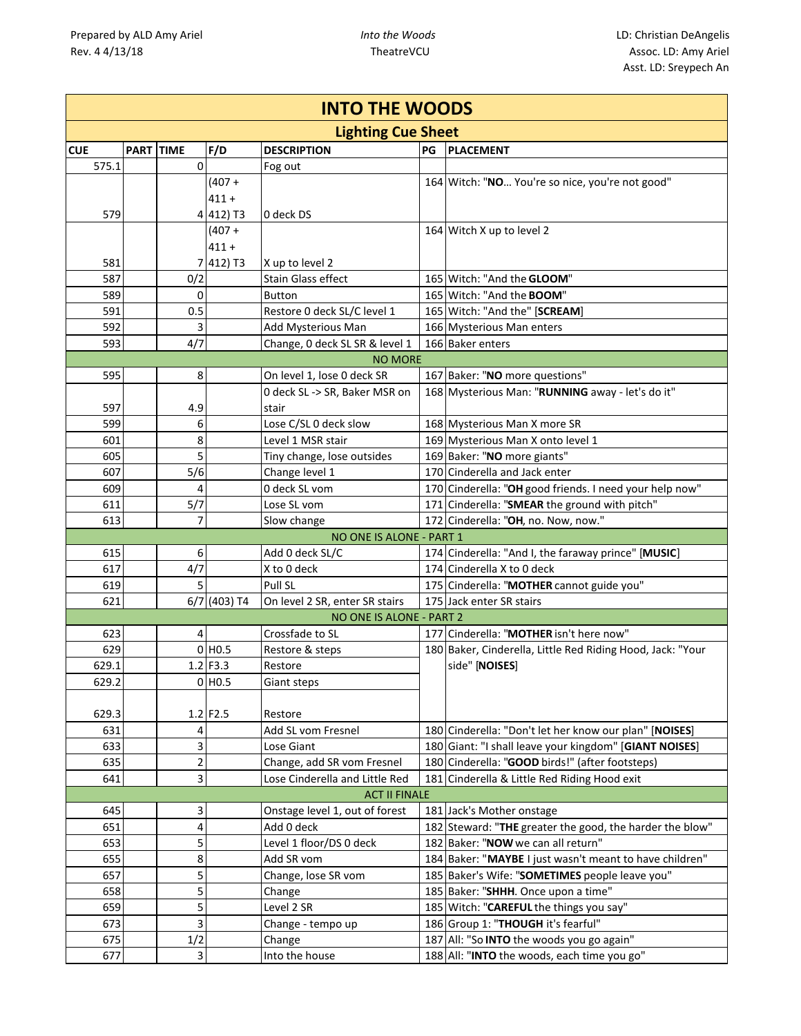| <b>INTO THE WOODS</b> |  |             |                    |                                             |    |                                                                              |  |  |  |
|-----------------------|--|-------------|--------------------|---------------------------------------------|----|------------------------------------------------------------------------------|--|--|--|
|                       |  |             |                    | <b>Lighting Cue Sheet</b>                   |    |                                                                              |  |  |  |
| <b>CUE</b>            |  | PART TIME   | F/D                | <b>DESCRIPTION</b>                          | PG | <b>PLACEMENT</b>                                                             |  |  |  |
| 575.1                 |  | $\mathbf 0$ |                    | Fog out                                     |    |                                                                              |  |  |  |
|                       |  |             | $(407 +$           |                                             |    | 164 Witch: "NO You're so nice, you're not good"                              |  |  |  |
|                       |  |             | $411 +$            |                                             |    |                                                                              |  |  |  |
| 579                   |  |             | 4 412) T3          | 0 deck DS                                   |    |                                                                              |  |  |  |
|                       |  |             | $(407 +$           |                                             |    | 164 Witch X up to level 2                                                    |  |  |  |
|                       |  |             | $411 +$            |                                             |    |                                                                              |  |  |  |
| 581                   |  |             | 7 412) T3          | X up to level 2                             |    |                                                                              |  |  |  |
| 587                   |  | 0/2         |                    | Stain Glass effect                          |    | 165 Witch: "And the GLOOM"                                                   |  |  |  |
| 589                   |  | 0           |                    | Button                                      |    | 165 Witch: "And the BOOM"                                                    |  |  |  |
| 591                   |  | 0.5         |                    | Restore 0 deck SL/C level 1                 |    | 165 Witch: "And the" [SCREAM]                                                |  |  |  |
| 592                   |  | 3           |                    | Add Mysterious Man                          |    | 166 Mysterious Man enters                                                    |  |  |  |
| 593                   |  | 4/7         |                    | Change, 0 deck SL SR & level 1              |    | 166 Baker enters                                                             |  |  |  |
|                       |  |             |                    | <b>NO MORE</b>                              |    |                                                                              |  |  |  |
| 595                   |  | 8           |                    | On level 1, lose 0 deck SR                  |    | 167 Baker: "NO more questions"                                               |  |  |  |
|                       |  |             |                    | 0 deck SL -> SR, Baker MSR on               |    | 168 Mysterious Man: "RUNNING away - let's do it"                             |  |  |  |
| 597                   |  | 4.9         |                    | stair                                       |    |                                                                              |  |  |  |
| 599                   |  | 6           |                    | Lose C/SL 0 deck slow                       |    | 168 Mysterious Man X more SR                                                 |  |  |  |
| 601                   |  | 8           |                    | Level 1 MSR stair                           |    | 169 Mysterious Man X onto level 1                                            |  |  |  |
| 605                   |  | 5           |                    | Tiny change, lose outsides                  |    | 169 Baker: "NO more giants"                                                  |  |  |  |
| 607                   |  | 5/6         |                    | Change level 1                              |    | 170 Cinderella and Jack enter                                                |  |  |  |
| 609                   |  | 4           |                    | 0 deck SL vom                               |    | 170 Cinderella: "OH good friends. I need your help now"                      |  |  |  |
| 611                   |  | 5/7         |                    | Lose SL vom                                 |    | 171 Cinderella: "SMEAR the ground with pitch"                                |  |  |  |
| 613                   |  | 7           |                    | Slow change                                 |    | 172 Cinderella: "OH, no. Now, now."                                          |  |  |  |
|                       |  |             |                    | NO ONE IS ALONE - PART 1                    |    |                                                                              |  |  |  |
| 615                   |  | 6           |                    | Add 0 deck SL/C                             |    | 174 Cinderella: "And I, the faraway prince" [MUSIC]                          |  |  |  |
| 617                   |  | 4/7         |                    | X to 0 deck                                 |    | 174 Cinderella X to 0 deck                                                   |  |  |  |
| 619                   |  | 5           |                    | Pull SL                                     |    | 175 Cinderella: "MOTHER cannot guide you"                                    |  |  |  |
| 621                   |  |             | 6/7 (403) T4       | On level 2 SR, enter SR stairs              |    | 175 Jack enter SR stairs                                                     |  |  |  |
|                       |  |             |                    | NO ONE IS ALONE - PART 2<br>Crossfade to SL |    | 177 Cinderella: "MOTHER isn't here now"                                      |  |  |  |
| 623                   |  | 4           | $0$ HO.5           |                                             |    |                                                                              |  |  |  |
| 629<br>629.1          |  |             | $1.2$ F3.3         | Restore & steps                             |    | 180 Baker, Cinderella, Little Red Riding Hood, Jack: "Your<br>side" [NOISES] |  |  |  |
|                       |  |             |                    | Restore                                     |    |                                                                              |  |  |  |
| 629.2                 |  |             | 0 H <sub>0.5</sub> | Giant steps                                 |    |                                                                              |  |  |  |
| 629.3                 |  |             | 1.2 F2.5           | Restore                                     |    |                                                                              |  |  |  |
| 631                   |  | 4           |                    | Add SL vom Fresnel                          |    | 180 Cinderella: "Don't let her know our plan" [NOISES]                       |  |  |  |
| 633                   |  | 3           |                    | Lose Giant                                  |    | 180 Giant: "I shall leave your kingdom" [GIANT NOISES]                       |  |  |  |
| 635                   |  | 2           |                    | Change, add SR vom Fresnel                  |    | 180 Cinderella: "GOOD birds!" (after footsteps)                              |  |  |  |
| 641                   |  | 3           |                    | Lose Cinderella and Little Red              |    | 181 Cinderella & Little Red Riding Hood exit                                 |  |  |  |
|                       |  |             |                    | <b>ACT II FINALE</b>                        |    |                                                                              |  |  |  |
| 645                   |  | 3           |                    | Onstage level 1, out of forest              |    | 181 Jack's Mother onstage                                                    |  |  |  |
| 651                   |  | 4           |                    | Add 0 deck                                  |    | 182 Steward: "THE greater the good, the harder the blow"                     |  |  |  |
| 653                   |  | 5           |                    | Level 1 floor/DS 0 deck                     |    | 182 Baker: "NOW we can all return"                                           |  |  |  |
| 655                   |  | 8           |                    | Add SR vom                                  |    | 184 Baker: "MAYBE I just wasn't meant to have children"                      |  |  |  |
| 657                   |  | 5           |                    | Change, lose SR vom                         |    | 185 Baker's Wife: "SOMETIMES people leave you"                               |  |  |  |
| 658                   |  | 5           |                    | Change                                      |    | 185 Baker: "SHHH. Once upon a time"                                          |  |  |  |
| 659                   |  | 5           |                    | Level 2 SR                                  |    | 185 Witch: "CAREFUL the things you say"                                      |  |  |  |
| 673                   |  | 3           |                    | Change - tempo up                           |    | 186 Group 1: "THOUGH it's fearful"                                           |  |  |  |
| 675                   |  | 1/2         |                    | Change                                      |    | 187 All: "So INTO the woods you go again"                                    |  |  |  |
| 677                   |  | 3           |                    | Into the house                              |    | 188 All: "INTO the woods, each time you go"                                  |  |  |  |